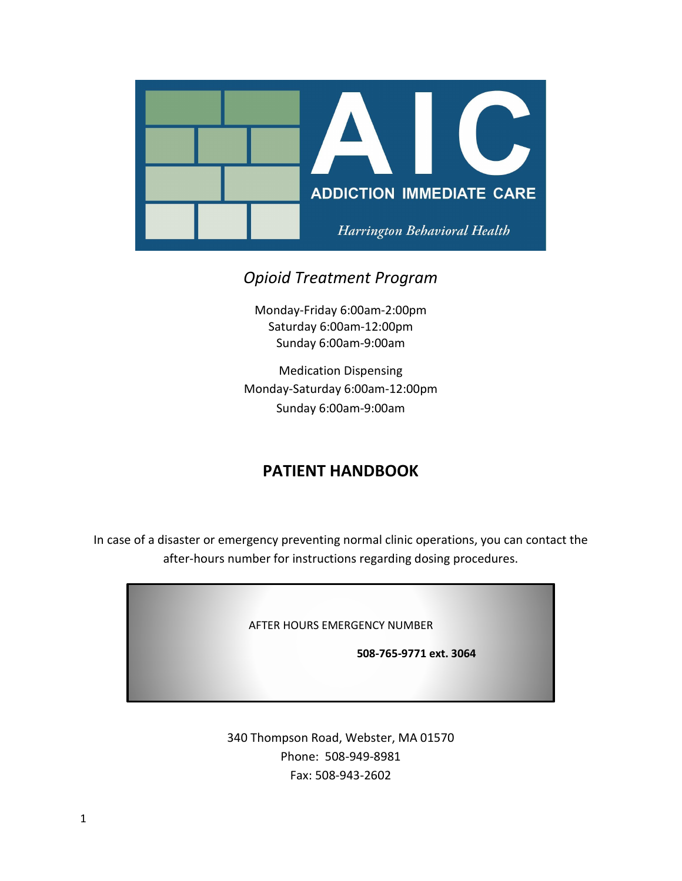

# *Opioid Treatment Program*

Monday-Friday 6:00am-2:00pm Saturday 6:00am-12:00pm Sunday 6:00am-9:00am

Medication Dispensing Monday-Saturday 6:00am-12:00pm Sunday 6:00am-9:00am

# **PATIENT HANDBOOK**

In case of a disaster or emergency preventing normal clinic operations, you can contact the after-hours number for instructions regarding dosing procedures.

AFTER HOURS EMERGENCY NUMBER

 **508-765-9771 ext. 3064**

340 Thompson Road, Webster, MA 01570 Phone: 508-949-8981 Fax: 508-943-2602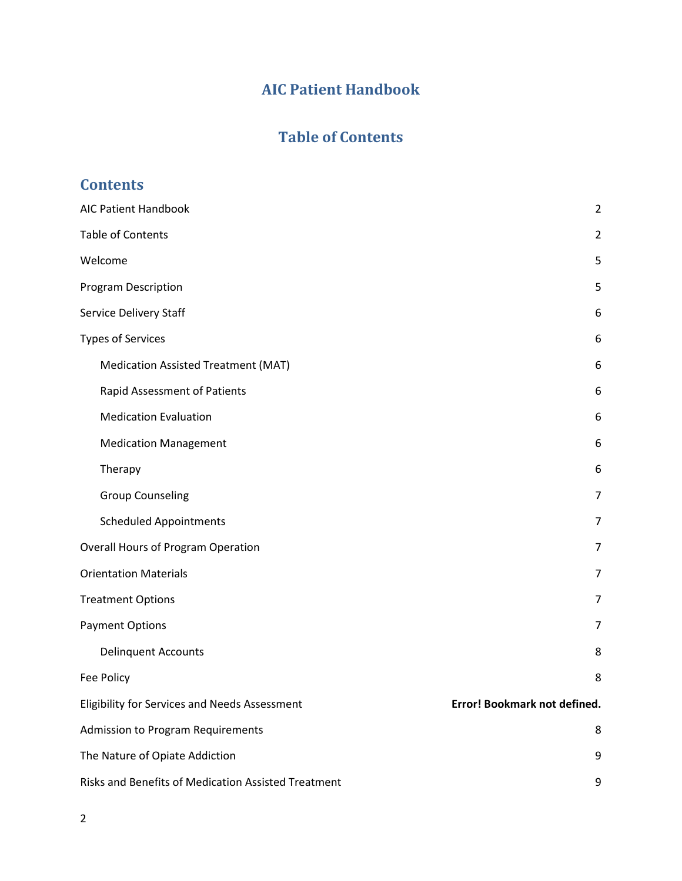# **AIC Patient Handbook**

# **Table of Contents**

<span id="page-1-1"></span><span id="page-1-0"></span>

| <b>Contents</b>                                     |                              |
|-----------------------------------------------------|------------------------------|
| <b>AIC Patient Handbook</b>                         | $\overline{2}$               |
| <b>Table of Contents</b>                            | $\overline{2}$               |
| Welcome                                             | 5                            |
| <b>Program Description</b>                          | 5                            |
| Service Delivery Staff                              | 6                            |
| <b>Types of Services</b>                            | 6                            |
| Medication Assisted Treatment (MAT)                 | 6                            |
| Rapid Assessment of Patients                        | 6                            |
| <b>Medication Evaluation</b>                        | 6                            |
| <b>Medication Management</b>                        | 6                            |
| Therapy                                             | 6                            |
| <b>Group Counseling</b>                             | 7                            |
| <b>Scheduled Appointments</b>                       | 7                            |
| <b>Overall Hours of Program Operation</b>           | 7                            |
| <b>Orientation Materials</b>                        | 7                            |
| <b>Treatment Options</b>                            | 7                            |
| <b>Payment Options</b>                              | 7                            |
| <b>Delinquent Accounts</b>                          | 8                            |
| Fee Policy                                          | 8                            |
| Eligibility for Services and Needs Assessment       | Error! Bookmark not defined. |
| <b>Admission to Program Requirements</b>            | 8                            |
| The Nature of Opiate Addiction                      | 9                            |
| Risks and Benefits of Medication Assisted Treatment | 9                            |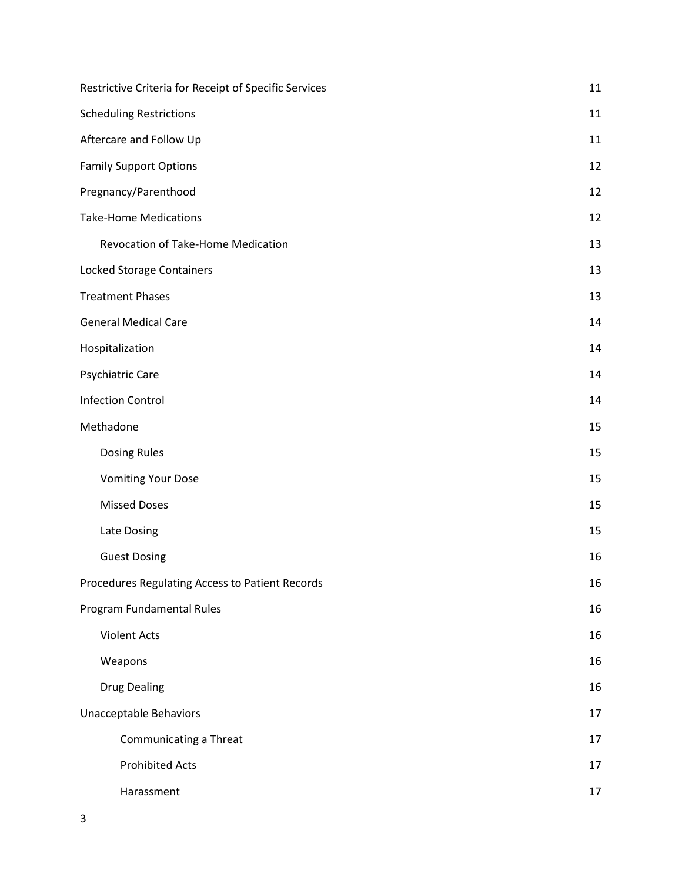| Restrictive Criteria for Receipt of Specific Services | 11 |
|-------------------------------------------------------|----|
| <b>Scheduling Restrictions</b>                        | 11 |
| Aftercare and Follow Up                               | 11 |
| <b>Family Support Options</b>                         | 12 |
| Pregnancy/Parenthood                                  | 12 |
| <b>Take-Home Medications</b>                          | 12 |
| Revocation of Take-Home Medication                    | 13 |
| Locked Storage Containers                             | 13 |
| <b>Treatment Phases</b>                               | 13 |
| <b>General Medical Care</b>                           | 14 |
| Hospitalization                                       | 14 |
| Psychiatric Care                                      | 14 |
| <b>Infection Control</b>                              | 14 |
| Methadone                                             | 15 |
| <b>Dosing Rules</b>                                   | 15 |
| <b>Vomiting Your Dose</b>                             | 15 |
| <b>Missed Doses</b>                                   | 15 |
| Late Dosing                                           | 15 |
| <b>Guest Dosing</b>                                   | 16 |
| Procedures Regulating Access to Patient Records       | 16 |
| Program Fundamental Rules                             | 16 |
| <b>Violent Acts</b>                                   | 16 |
| Weapons                                               | 16 |
| <b>Drug Dealing</b>                                   | 16 |
| <b>Unacceptable Behaviors</b>                         | 17 |
| Communicating a Threat                                | 17 |
| <b>Prohibited Acts</b>                                | 17 |
| Harassment                                            | 17 |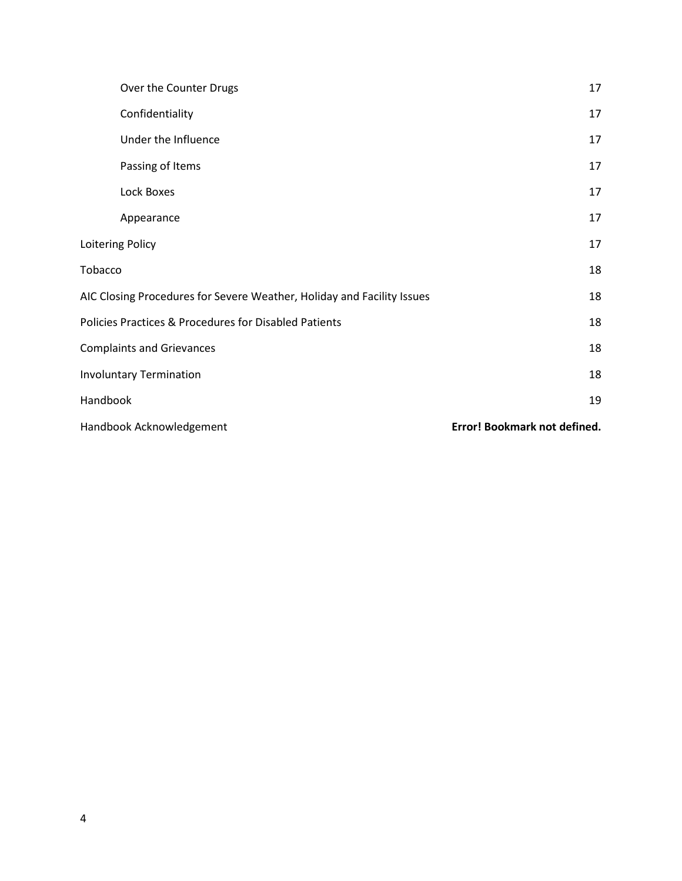| Over the Counter Drugs                                                 | 17                           |
|------------------------------------------------------------------------|------------------------------|
| Confidentiality                                                        | 17                           |
| Under the Influence                                                    | 17                           |
| Passing of Items                                                       | 17                           |
| Lock Boxes                                                             | 17                           |
| Appearance                                                             | 17                           |
| Loitering Policy                                                       | 17                           |
| Tobacco                                                                | 18                           |
| AIC Closing Procedures for Severe Weather, Holiday and Facility Issues | 18                           |
| Policies Practices & Procedures for Disabled Patients                  | 18                           |
| <b>Complaints and Grievances</b>                                       | 18                           |
| <b>Involuntary Termination</b>                                         | 18                           |
| Handbook                                                               | 19                           |
| Handbook Acknowledgement                                               | Error! Bookmark not defined. |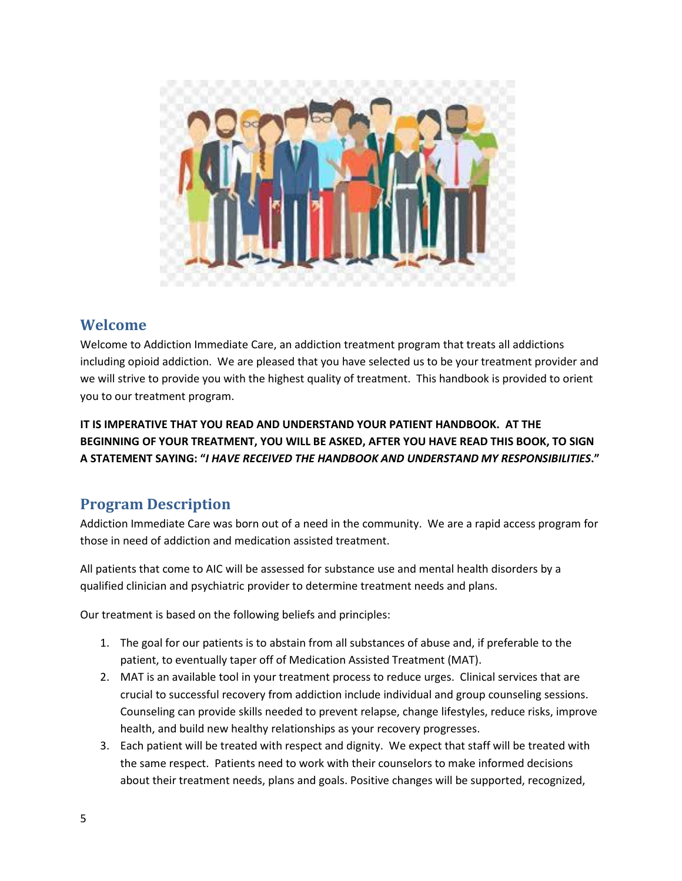

### <span id="page-4-0"></span>**Welcome**

Welcome to Addiction Immediate Care, an addiction treatment program that treats all addictions including opioid addiction. We are pleased that you have selected us to be your treatment provider and we will strive to provide you with the highest quality of treatment. This handbook is provided to orient you to our treatment program.

**IT IS IMPERATIVE THAT YOU READ AND UNDERSTAND YOUR PATIENT HANDBOOK. AT THE BEGINNING OF YOUR TREATMENT, YOU WILL BE ASKED, AFTER YOU HAVE READ THIS BOOK, TO SIGN A STATEMENT SAYING: "***I HAVE RECEIVED THE HANDBOOK AND UNDERSTAND MY RESPONSIBILITIES***."**

# <span id="page-4-1"></span>**Program Description**

Addiction Immediate Care was born out of a need in the community. We are a rapid access program for those in need of addiction and medication assisted treatment.

All patients that come to AIC will be assessed for substance use and mental health disorders by a qualified clinician and psychiatric provider to determine treatment needs and plans.

Our treatment is based on the following beliefs and principles:

- 1. The goal for our patients is to abstain from all substances of abuse and, if preferable to the patient, to eventually taper off of Medication Assisted Treatment (MAT).
- 2. MAT is an available tool in your treatment process to reduce urges. Clinical services that are crucial to successful recovery from addiction include individual and group counseling sessions. Counseling can provide skills needed to prevent relapse, change lifestyles, reduce risks, improve health, and build new healthy relationships as your recovery progresses.
- 3. Each patient will be treated with respect and dignity. We expect that staff will be treated with the same respect. Patients need to work with their counselors to make informed decisions about their treatment needs, plans and goals. Positive changes will be supported, recognized,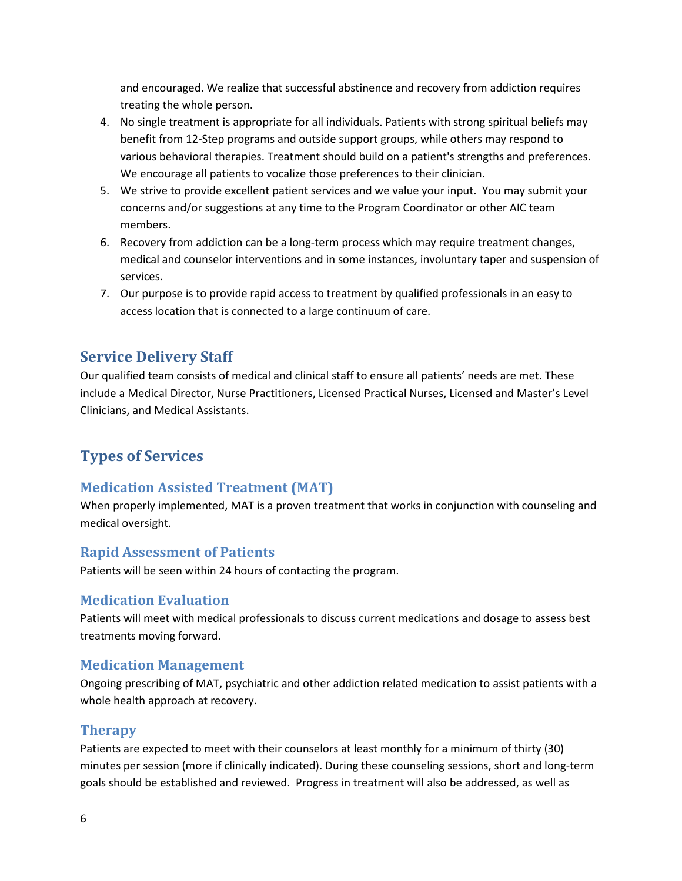and encouraged. We realize that successful abstinence and recovery from addiction requires treating the whole person.

- 4. No single treatment is appropriate for all individuals. Patients with strong spiritual beliefs may benefit from 12-Step programs and outside support groups, while others may respond to various behavioral therapies. Treatment should build on a patient's strengths and preferences. We encourage all patients to vocalize those preferences to their clinician.
- 5. We strive to provide excellent patient services and we value your input. You may submit your concerns and/or suggestions at any time to the Program Coordinator or other AIC team members.
- 6. Recovery from addiction can be a long-term process which may require treatment changes, medical and counselor interventions and in some instances, involuntary taper and suspension of services.
- 7. Our purpose is to provide rapid access to treatment by qualified professionals in an easy to access location that is connected to a large continuum of care.

#### <span id="page-5-0"></span>**Service Delivery Staff**

Our qualified team consists of medical and clinical staff to ensure all patients' needs are met. These include a Medical Director, Nurse Practitioners, Licensed Practical Nurses, Licensed and Master's Level Clinicians, and Medical Assistants.

# <span id="page-5-1"></span>**Types of Services**

#### <span id="page-5-2"></span>**Medication Assisted Treatment (MAT)**

When properly implemented, MAT is a proven treatment that works in conjunction with counseling and medical oversight.

#### <span id="page-5-3"></span>**Rapid Assessment of Patients**

Patients will be seen within 24 hours of contacting the program.

#### <span id="page-5-4"></span>**Medication Evaluation**

Patients will meet with medical professionals to discuss current medications and dosage to assess best treatments moving forward.

#### <span id="page-5-5"></span>**Medication Management**

Ongoing prescribing of MAT, psychiatric and other addiction related medication to assist patients with a whole health approach at recovery.

#### <span id="page-5-6"></span>**Therapy**

Patients are expected to meet with their counselors at least monthly for a minimum of thirty (30) minutes per session (more if clinically indicated). During these counseling sessions, short and long-term goals should be established and reviewed. Progress in treatment will also be addressed, as well as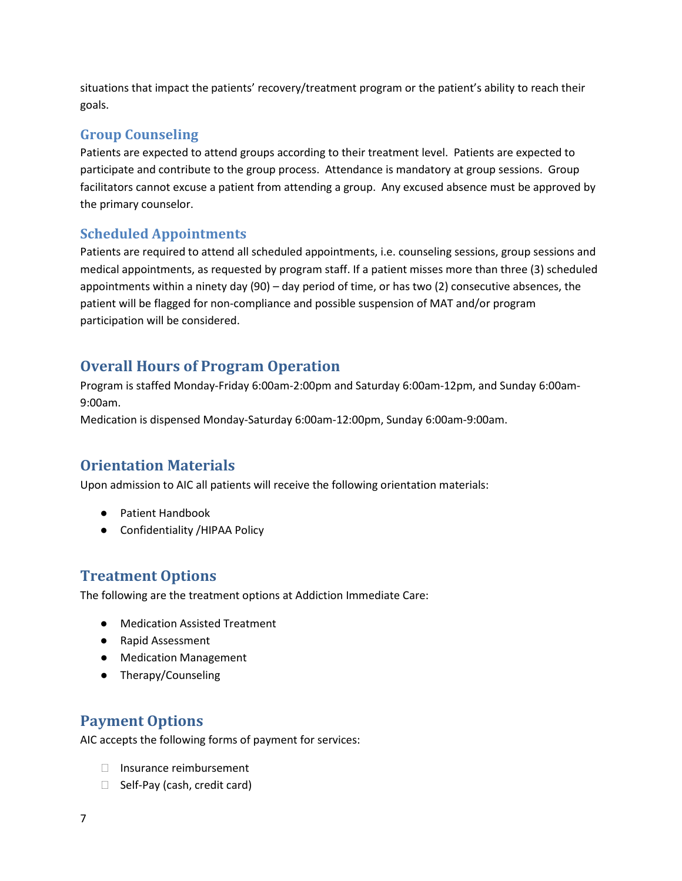situations that impact the patients' recovery/treatment program or the patient's ability to reach their goals.

### <span id="page-6-0"></span>**Group Counseling**

Patients are expected to attend groups according to their treatment level. Patients are expected to participate and contribute to the group process. Attendance is mandatory at group sessions. Group facilitators cannot excuse a patient from attending a group. Any excused absence must be approved by the primary counselor.

### <span id="page-6-1"></span>**Scheduled Appointments**

Patients are required to attend all scheduled appointments, i.e. counseling sessions, group sessions and medical appointments, as requested by program staff. If a patient misses more than three (3) scheduled appointments within a ninety day (90) – day period of time, or has two (2) consecutive absences, the patient will be flagged for non-compliance and possible suspension of MAT and/or program participation will be considered.

## <span id="page-6-2"></span>**Overall Hours of Program Operation**

Program is staffed Monday-Friday 6:00am-2:00pm and Saturday 6:00am-12pm, and Sunday 6:00am-9:00am.

Medication is dispensed Monday-Saturday 6:00am-12:00pm, Sunday 6:00am-9:00am.

# <span id="page-6-3"></span>**Orientation Materials**

Upon admission to AIC all patients will receive the following orientation materials:

- Patient Handbook
- Confidentiality / HIPAA Policy

# <span id="page-6-4"></span>**Treatment Options**

The following are the treatment options at Addiction Immediate Care:

- Medication Assisted Treatment
- Rapid Assessment
- Medication Management
- Therapy/Counseling

# <span id="page-6-5"></span>**Payment Options**

AIC accepts the following forms of payment for services:

- □ Insurance reimbursement
- □ Self-Pay (cash, credit card)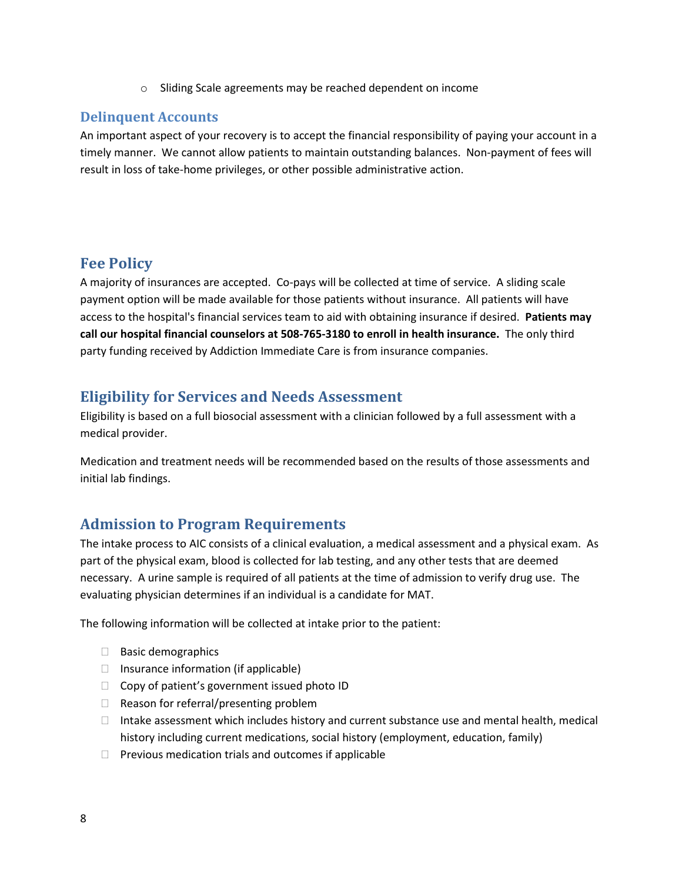o Sliding Scale agreements may be reached dependent on income

#### <span id="page-7-0"></span>**Delinquent Accounts**

An important aspect of your recovery is to accept the financial responsibility of paying your account in a timely manner. We cannot allow patients to maintain outstanding balances. Non-payment of fees will result in loss of take-home privileges, or other possible administrative action.

#### <span id="page-7-1"></span>**Fee Policy**

A majority of insurances are accepted. Co-pays will be collected at time of service. A sliding scale payment option will be made available for those patients without insurance. All patients will have access to the hospital's financial services team to aid with obtaining insurance if desired. **Patients may call our hospital financial counselors at 508-765-3180 to enroll in health insurance.** The only third party funding received by Addiction Immediate Care is from insurance companies.

#### **Eligibility for Services and Needs Assessment**

Eligibility is based on a full biosocial assessment with a clinician followed by a full assessment with a medical provider.

Medication and treatment needs will be recommended based on the results of those assessments and initial lab findings.

### <span id="page-7-2"></span>**Admission to Program Requirements**

The intake process to AIC consists of a clinical evaluation, a medical assessment and a physical exam. As part of the physical exam, blood is collected for lab testing, and any other tests that are deemed necessary. A urine sample is required of all patients at the time of admission to verify drug use. The evaluating physician determines if an individual is a candidate for MAT.

The following information will be collected at intake prior to the patient:

- $\Box$  Basic demographics
- $\Box$  Insurance information (if applicable)
- $\Box$  Copy of patient's government issued photo ID
- □ Reason for referral/presenting problem
- $\Box$  Intake assessment which includes history and current substance use and mental health, medical history including current medications, social history (employment, education, family)
- $\Box$  Previous medication trials and outcomes if applicable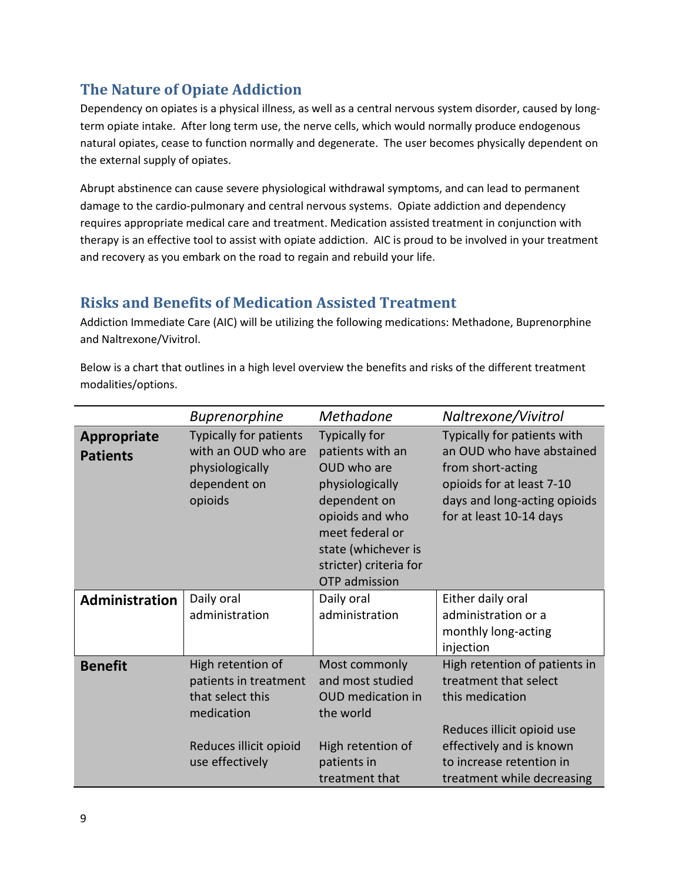# <span id="page-8-0"></span>**The Nature of Opiate Addiction**

Dependency on opiates is a physical illness, as well as a central nervous system disorder, caused by longterm opiate intake. After long term use, the nerve cells, which would normally produce endogenous natural opiates, cease to function normally and degenerate. The user becomes physically dependent on the external supply of opiates.

Abrupt abstinence can cause severe physiological withdrawal symptoms, and can lead to permanent damage to the cardio-pulmonary and central nervous systems. Opiate addiction and dependency requires appropriate medical care and treatment. Medication assisted treatment in conjunction with therapy is an effective tool to assist with opiate addiction. AIC is proud to be involved in your treatment and recovery as you embark on the road to regain and rebuild your life.

# <span id="page-8-1"></span>**Risks and Benefits of Medication Assisted Treatment**

Addiction Immediate Care (AIC) will be utilizing the following medications: Methadone, Buprenorphine and Naltrexone/Vivitrol.

Below is a chart that outlines in a high level overview the benefits and risks of the different treatment modalities/options.

|                                       | <b>Buprenorphine</b>                                                                                                      | <b>Methadone</b>                                                                                                                                                                                          | Naltrexone/Vivitrol                                                                                                                                                   |
|---------------------------------------|---------------------------------------------------------------------------------------------------------------------------|-----------------------------------------------------------------------------------------------------------------------------------------------------------------------------------------------------------|-----------------------------------------------------------------------------------------------------------------------------------------------------------------------|
| <b>Appropriate</b><br><b>Patients</b> | Typically for patients<br>with an OUD who are<br>physiologically<br>dependent on<br>opioids                               | <b>Typically for</b><br>patients with an<br>OUD who are<br>physiologically<br>dependent on<br>opioids and who<br>meet federal or<br>state (whichever is<br>stricter) criteria for<br><b>OTP</b> admission | Typically for patients with<br>an OUD who have abstained<br>from short-acting<br>opioids for at least 7-10<br>days and long-acting opioids<br>for at least 10-14 days |
| Administration                        | Daily oral<br>administration                                                                                              | Daily oral<br>administration                                                                                                                                                                              | Either daily oral<br>administration or a<br>monthly long-acting<br>injection                                                                                          |
| <b>Benefit</b>                        | High retention of<br>patients in treatment<br>that select this<br>medication<br>Reduces illicit opioid<br>use effectively | Most commonly<br>and most studied<br><b>OUD</b> medication in<br>the world<br>High retention of<br>patients in                                                                                            | High retention of patients in<br>treatment that select<br>this medication<br>Reduces illicit opioid use<br>effectively and is known<br>to increase retention in       |
|                                       |                                                                                                                           | treatment that                                                                                                                                                                                            | treatment while decreasing                                                                                                                                            |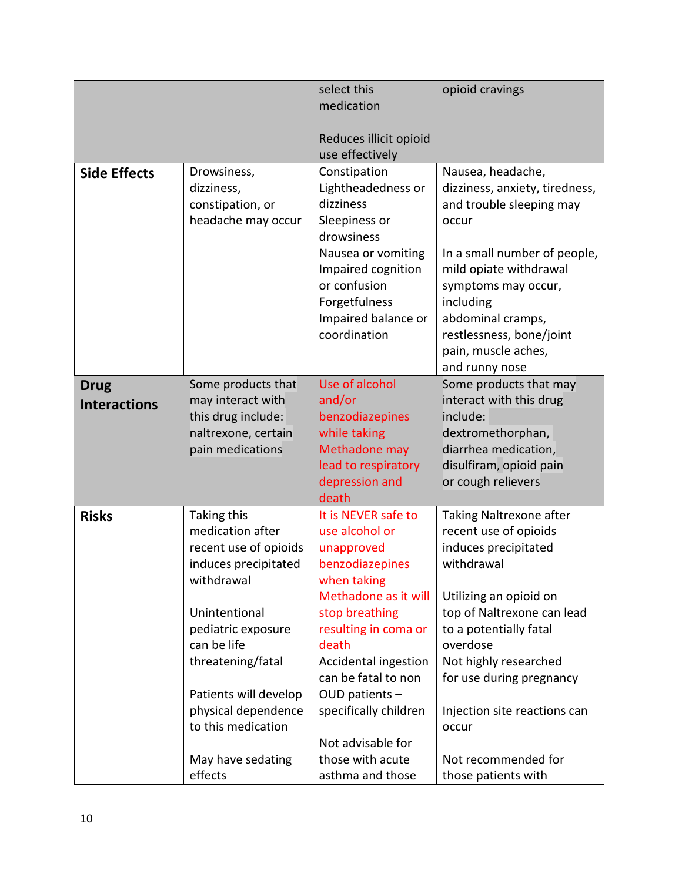|                     |                                    | select this                         | opioid cravings                    |
|---------------------|------------------------------------|-------------------------------------|------------------------------------|
|                     |                                    | medication                          |                                    |
|                     |                                    |                                     |                                    |
|                     |                                    | Reduces illicit opioid              |                                    |
|                     |                                    | use effectively                     |                                    |
| <b>Side Effects</b> | Drowsiness,                        | Constipation                        | Nausea, headache,                  |
|                     | dizziness,                         | Lightheadedness or                  | dizziness, anxiety, tiredness,     |
|                     | constipation, or                   | dizziness                           | and trouble sleeping may           |
|                     | headache may occur                 | Sleepiness or                       | occur                              |
|                     |                                    | drowsiness                          |                                    |
|                     |                                    | Nausea or vomiting                  | In a small number of people,       |
|                     |                                    | Impaired cognition                  | mild opiate withdrawal             |
|                     |                                    | or confusion                        | symptoms may occur,                |
|                     |                                    | Forgetfulness                       | including                          |
|                     |                                    | Impaired balance or                 | abdominal cramps,                  |
|                     |                                    | coordination                        | restlessness, bone/joint           |
|                     |                                    |                                     | pain, muscle aches,                |
|                     |                                    |                                     | and runny nose                     |
| <b>Drug</b>         | Some products that                 | Use of alcohol                      | Some products that may             |
| <b>Interactions</b> | may interact with                  | and/or                              | interact with this drug            |
|                     | this drug include:                 | benzodiazepines                     | include:                           |
|                     | naltrexone, certain                | while taking                        | dextromethorphan,                  |
|                     | pain medications                   | Methadone may                       | diarrhea medication,               |
|                     |                                    | lead to respiratory                 | disulfiram, opioid pain            |
|                     |                                    | depression and                      | or cough relievers                 |
|                     |                                    | death                               |                                    |
| <b>Risks</b>        | Taking this<br>medication after    | It is NEVER safe to                 | Taking Naltrexone after            |
|                     |                                    | use alcohol or                      | recent use of opioids              |
|                     | recent use of opioids              | unapproved                          | induces precipitated<br>withdrawal |
|                     | induces precipitated<br>withdrawal | benzodiazepines                     |                                    |
|                     |                                    | when taking<br>Methadone as it will | Utilizing an opioid on             |
|                     | Unintentional                      | stop breathing                      | top of Naltrexone can lead         |
|                     | pediatric exposure                 | resulting in coma or                | to a potentially fatal             |
|                     | can be life                        | death                               | overdose                           |
|                     | threatening/fatal                  | Accidental ingestion                | Not highly researched              |
|                     |                                    | can be fatal to non                 | for use during pregnancy           |
|                     | Patients will develop              | OUD patients $-$                    |                                    |
|                     | physical dependence                | specifically children               | Injection site reactions can       |
|                     | to this medication                 |                                     | occur                              |
|                     |                                    | Not advisable for                   |                                    |
|                     | May have sedating                  | those with acute                    | Not recommended for                |
|                     | effects                            | asthma and those                    | those patients with                |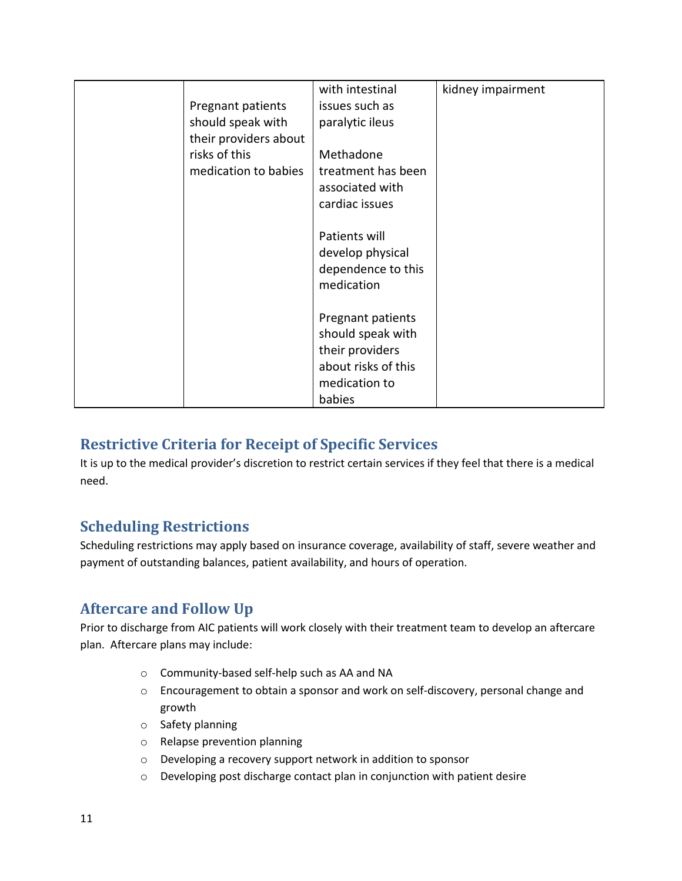|                       | with intestinal     | kidney impairment |
|-----------------------|---------------------|-------------------|
| Pregnant patients     | issues such as      |                   |
| should speak with     | paralytic ileus     |                   |
| their providers about |                     |                   |
| risks of this         | Methadone           |                   |
| medication to babies  | treatment has been  |                   |
|                       | associated with     |                   |
|                       | cardiac issues      |                   |
|                       |                     |                   |
|                       | Patients will       |                   |
|                       | develop physical    |                   |
|                       | dependence to this  |                   |
|                       | medication          |                   |
|                       |                     |                   |
|                       | Pregnant patients   |                   |
|                       | should speak with   |                   |
|                       | their providers     |                   |
|                       | about risks of this |                   |
|                       | medication to       |                   |
|                       | babies              |                   |

# <span id="page-10-0"></span>**Restrictive Criteria for Receipt of Specific Services**

It is up to the medical provider's discretion to restrict certain services if they feel that there is a medical need.

### <span id="page-10-1"></span>**Scheduling Restrictions**

Scheduling restrictions may apply based on insurance coverage, availability of staff, severe weather and payment of outstanding balances, patient availability, and hours of operation.

# <span id="page-10-2"></span>**Aftercare and Follow Up**

Prior to discharge from AIC patients will work closely with their treatment team to develop an aftercare plan. Aftercare plans may include:

- o Community-based self-help such as AA and NA
- o Encouragement to obtain a sponsor and work on self-discovery, personal change and growth
- o Safety planning
- o Relapse prevention planning
- o Developing a recovery support network in addition to sponsor
- o Developing post discharge contact plan in conjunction with patient desire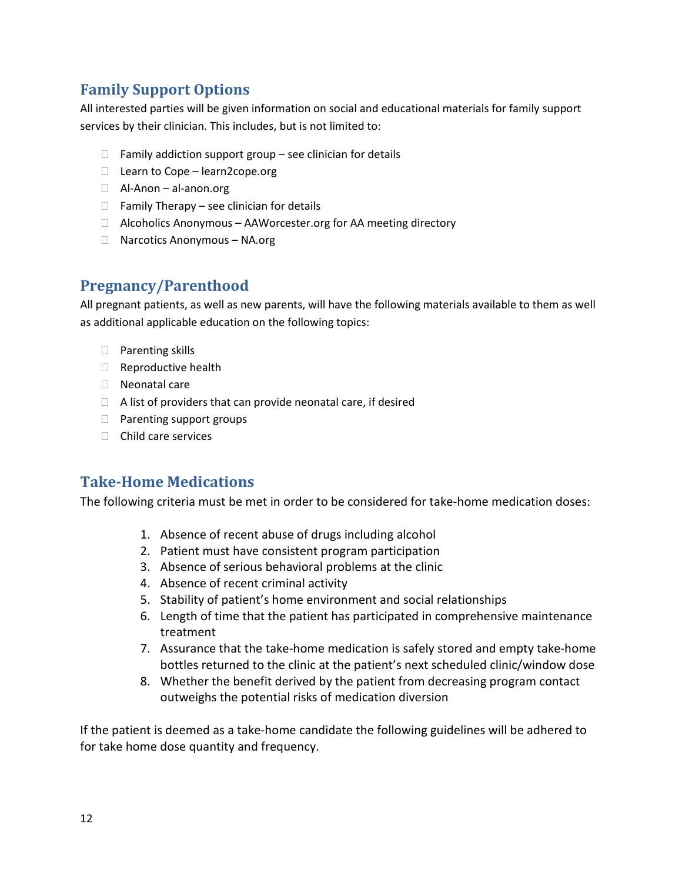# <span id="page-11-0"></span>**Family Support Options**

All interested parties will be given information on social and educational materials for family support services by their clinician. This includes, but is not limited to:

- $\Box$  Family addiction support group see clinician for details
- □ Learn to Cope learn2cope.org
- □ Al-Anon al-anon.org
- $\Box$  Family Therapy see clinician for details
- $\Box$  Alcoholics Anonymous AAWorcester.org for AA meeting directory
- □ Narcotics Anonymous NA.org

## <span id="page-11-1"></span>**Pregnancy/Parenthood**

All pregnant patients, as well as new parents, will have the following materials available to them as well as additional applicable education on the following topics:

- □ Parenting skills
- □ Reproductive health
- ⮚ Neonatal care
- $\Box$  A list of providers that can provide neonatal care, if desired
- □ Parenting support groups
- □ Child care services

### <span id="page-11-2"></span>**Take-Home Medications**

The following criteria must be met in order to be considered for take-home medication doses:

- 1. Absence of recent abuse of drugs including alcohol
- 2. Patient must have consistent program participation
- 3. Absence of serious behavioral problems at the clinic
- 4. Absence of recent criminal activity
- 5. Stability of patient's home environment and social relationships
- 6. Length of time that the patient has participated in comprehensive maintenance treatment
- 7. Assurance that the take-home medication is safely stored and empty take-home bottles returned to the clinic at the patient's next scheduled clinic/window dose
- 8. Whether the benefit derived by the patient from decreasing program contact outweighs the potential risks of medication diversion

If the patient is deemed as a take-home candidate the following guidelines will be adhered to for take home dose quantity and frequency.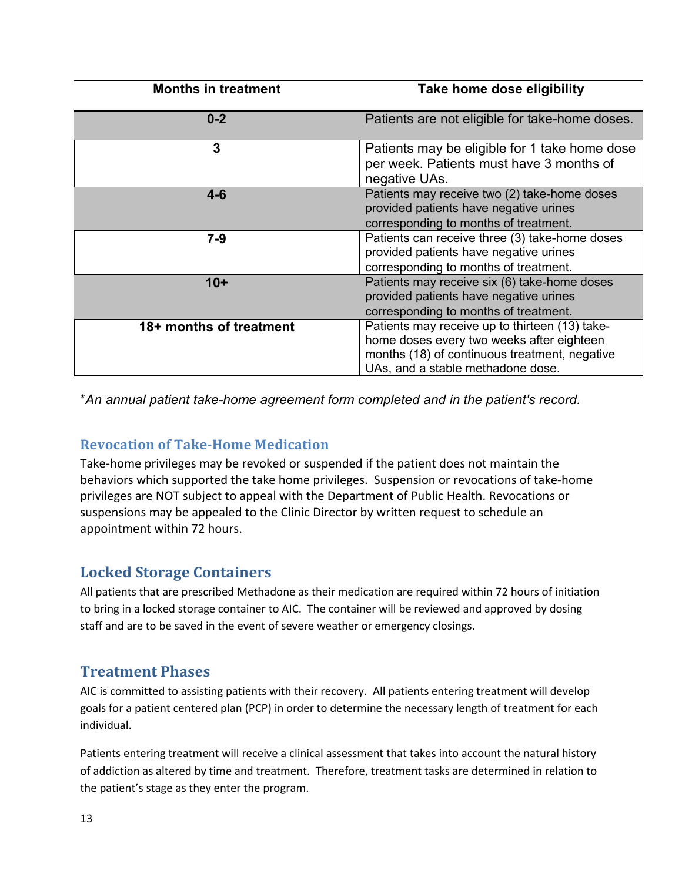| <b>Months in treatment</b> | Take home dose eligibility                                                                                                                                                        |
|----------------------------|-----------------------------------------------------------------------------------------------------------------------------------------------------------------------------------|
| $0 - 2$                    | Patients are not eligible for take-home doses.                                                                                                                                    |
| 3                          | Patients may be eligible for 1 take home dose<br>per week. Patients must have 3 months of<br>negative UAs.                                                                        |
| $4-6$                      | Patients may receive two (2) take-home doses<br>provided patients have negative urines<br>corresponding to months of treatment.                                                   |
| $7 - 9$                    | Patients can receive three (3) take-home doses<br>provided patients have negative urines<br>corresponding to months of treatment.                                                 |
| $10+$                      | Patients may receive six (6) take-home doses<br>provided patients have negative urines<br>corresponding to months of treatment.                                                   |
| 18+ months of treatment    | Patients may receive up to thirteen (13) take-<br>home doses every two weeks after eighteen<br>months (18) of continuous treatment, negative<br>UAs, and a stable methadone dose. |

\**An annual patient take-home agreement form completed and in the patient's record.*

### <span id="page-12-0"></span>**Revocation of Take-Home Medication**

Take-home privileges may be revoked or suspended if the patient does not maintain the behaviors which supported the take home privileges. Suspension or revocations of take-home privileges are NOT subject to appeal with the Department of Public Health. Revocations or suspensions may be appealed to the Clinic Director by written request to schedule an appointment within 72 hours.

# <span id="page-12-1"></span>**Locked Storage Containers**

All patients that are prescribed Methadone as their medication are required within 72 hours of initiation to bring in a locked storage container to AIC. The container will be reviewed and approved by dosing staff and are to be saved in the event of severe weather or emergency closings.

# <span id="page-12-2"></span>**Treatment Phases**

AIC is committed to assisting patients with their recovery. All patients entering treatment will develop goals for a patient centered plan (PCP) in order to determine the necessary length of treatment for each individual.

Patients entering treatment will receive a clinical assessment that takes into account the natural history of addiction as altered by time and treatment. Therefore, treatment tasks are determined in relation to the patient's stage as they enter the program.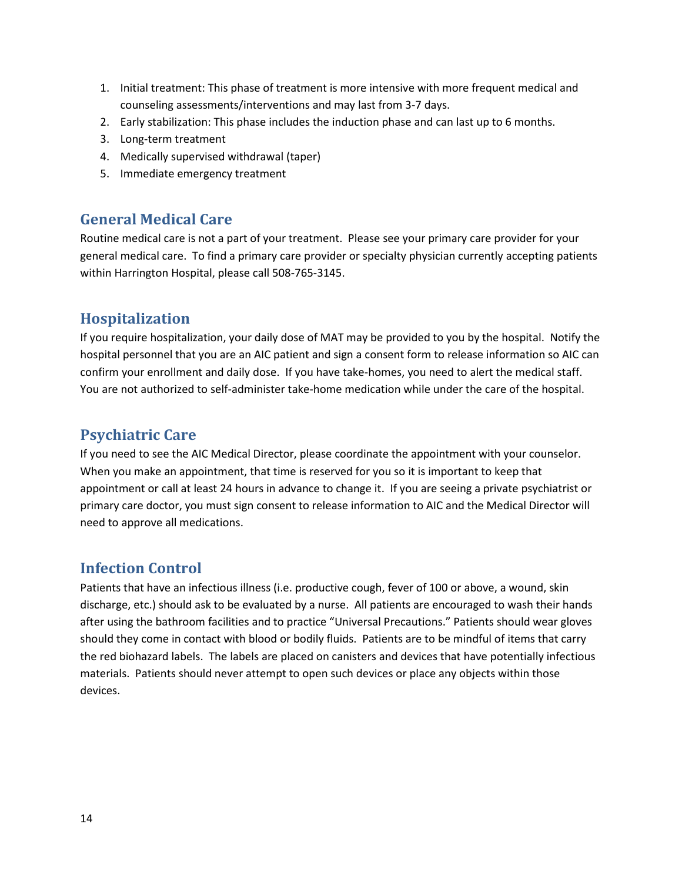- 1. Initial treatment: This phase of treatment is more intensive with more frequent medical and counseling assessments/interventions and may last from 3-7 days.
- 2. Early stabilization: This phase includes the induction phase and can last up to 6 months.
- 3. Long-term treatment
- 4. Medically supervised withdrawal (taper)
- 5. Immediate emergency treatment

## <span id="page-13-0"></span>**General Medical Care**

Routine medical care is not a part of your treatment. Please see your primary care provider for your general medical care. To find a primary care provider or specialty physician currently accepting patients within Harrington Hospital, please call 508-765-3145.

## <span id="page-13-1"></span>**Hospitalization**

If you require hospitalization, your daily dose of MAT may be provided to you by the hospital. Notify the hospital personnel that you are an AIC patient and sign a consent form to release information so AIC can confirm your enrollment and daily dose. If you have take-homes, you need to alert the medical staff. You are not authorized to self-administer take-home medication while under the care of the hospital.

# <span id="page-13-2"></span>**Psychiatric Care**

If you need to see the AIC Medical Director, please coordinate the appointment with your counselor. When you make an appointment, that time is reserved for you so it is important to keep that appointment or call at least 24 hours in advance to change it. If you are seeing a private psychiatrist or primary care doctor, you must sign consent to release information to AIC and the Medical Director will need to approve all medications.

### <span id="page-13-3"></span>**Infection Control**

Patients that have an infectious illness (i.e. productive cough, fever of 100 or above, a wound, skin discharge, etc.) should ask to be evaluated by a nurse. All patients are encouraged to wash their hands after using the bathroom facilities and to practice "Universal Precautions." Patients should wear gloves should they come in contact with blood or bodily fluids. Patients are to be mindful of items that carry the red biohazard labels. The labels are placed on canisters and devices that have potentially infectious materials. Patients should never attempt to open such devices or place any objects within those devices.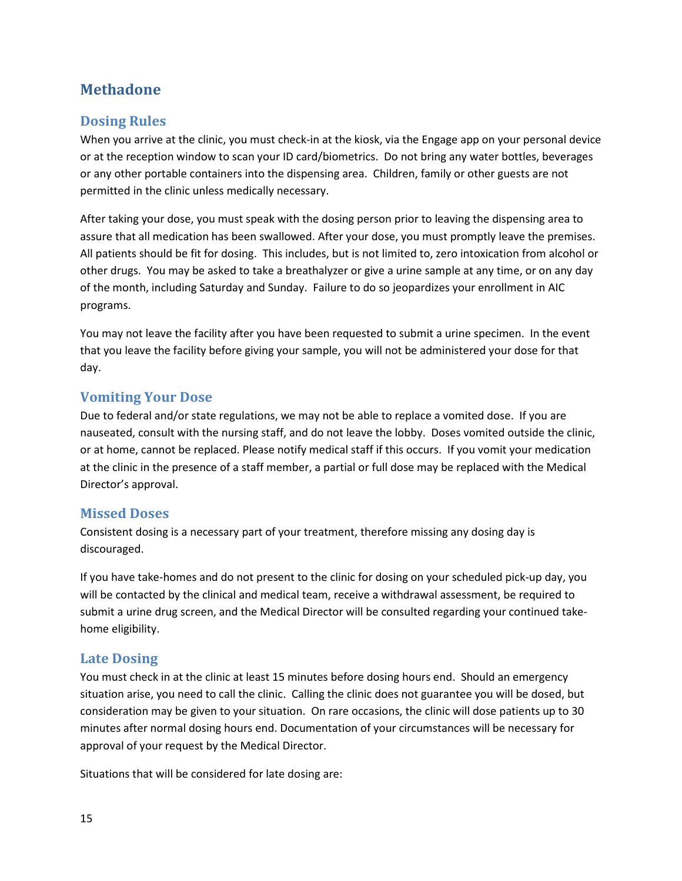# <span id="page-14-0"></span>**Methadone**

#### <span id="page-14-1"></span>**Dosing Rules**

When you arrive at the clinic, you must check-in at the kiosk, via the Engage app on your personal device or at the reception window to scan your ID card/biometrics. Do not bring any water bottles, beverages or any other portable containers into the dispensing area. Children, family or other guests are not permitted in the clinic unless medically necessary.

After taking your dose, you must speak with the dosing person prior to leaving the dispensing area to assure that all medication has been swallowed. After your dose, you must promptly leave the premises. All patients should be fit for dosing. This includes, but is not limited to, zero intoxication from alcohol or other drugs. You may be asked to take a breathalyzer or give a urine sample at any time, or on any day of the month, including Saturday and Sunday. Failure to do so jeopardizes your enrollment in AIC programs.

You may not leave the facility after you have been requested to submit a urine specimen. In the event that you leave the facility before giving your sample, you will not be administered your dose for that day.

#### <span id="page-14-2"></span>**Vomiting Your Dose**

Due to federal and/or state regulations, we may not be able to replace a vomited dose. If you are nauseated, consult with the nursing staff, and do not leave the lobby. Doses vomited outside the clinic, or at home, cannot be replaced. Please notify medical staff if this occurs. If you vomit your medication at the clinic in the presence of a staff member, a partial or full dose may be replaced with the Medical Director's approval.

#### <span id="page-14-3"></span>**Missed Doses**

Consistent dosing is a necessary part of your treatment, therefore missing any dosing day is discouraged.

If you have take-homes and do not present to the clinic for dosing on your scheduled pick-up day, you will be contacted by the clinical and medical team, receive a withdrawal assessment, be required to submit a urine drug screen, and the Medical Director will be consulted regarding your continued takehome eligibility.

#### <span id="page-14-4"></span>**Late Dosing**

You must check in at the clinic at least 15 minutes before dosing hours end. Should an emergency situation arise, you need to call the clinic. Calling the clinic does not guarantee you will be dosed, but consideration may be given to your situation. On rare occasions, the clinic will dose patients up to 30 minutes after normal dosing hours end. Documentation of your circumstances will be necessary for approval of your request by the Medical Director.

Situations that will be considered for late dosing are: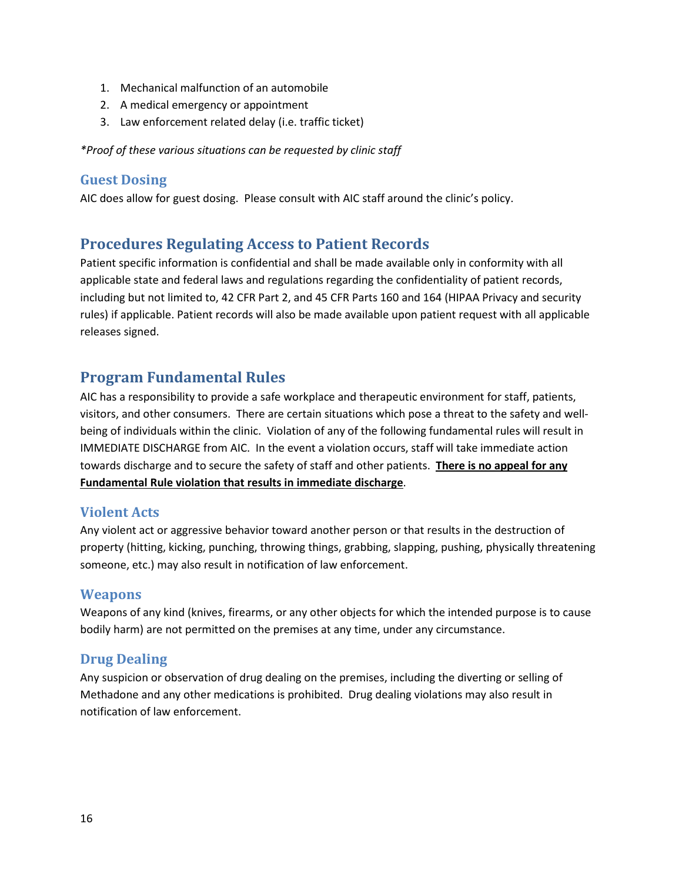- 1. Mechanical malfunction of an automobile
- 2. A medical emergency or appointment
- 3. Law enforcement related delay (i.e. traffic ticket)

*\*Proof of these various situations can be requested by clinic staff*

#### <span id="page-15-0"></span>**Guest Dosing**

AIC does allow for guest dosing. Please consult with AIC staff around the clinic's policy.

### <span id="page-15-1"></span>**Procedures Regulating Access to Patient Records**

Patient specific information is confidential and shall be made available only in conformity with all applicable state and federal laws and regulations regarding the confidentiality of patient records, including but not limited to, 42 CFR Part 2, and 45 CFR Parts 160 and 164 (HIPAA Privacy and security rules) if applicable. Patient records will also be made available upon patient request with all applicable releases signed.

#### <span id="page-15-2"></span>**Program Fundamental Rules**

AIC has a responsibility to provide a safe workplace and therapeutic environment for staff, patients, visitors, and other consumers. There are certain situations which pose a threat to the safety and wellbeing of individuals within the clinic. Violation of any of the following fundamental rules will result in IMMEDIATE DISCHARGE from AIC. In the event a violation occurs, staff will take immediate action towards discharge and to secure the safety of staff and other patients. **There is no appeal for any Fundamental Rule violation that results in immediate discharge**.

#### <span id="page-15-3"></span>**Violent Acts**

Any violent act or aggressive behavior toward another person or that results in the destruction of property (hitting, kicking, punching, throwing things, grabbing, slapping, pushing, physically threatening someone, etc.) may also result in notification of law enforcement.

#### <span id="page-15-4"></span>**Weapons**

Weapons of any kind (knives, firearms, or any other objects for which the intended purpose is to cause bodily harm) are not permitted on the premises at any time, under any circumstance.

#### <span id="page-15-5"></span>**Drug Dealing**

Any suspicion or observation of drug dealing on the premises, including the diverting or selling of Methadone and any other medications is prohibited. Drug dealing violations may also result in notification of law enforcement.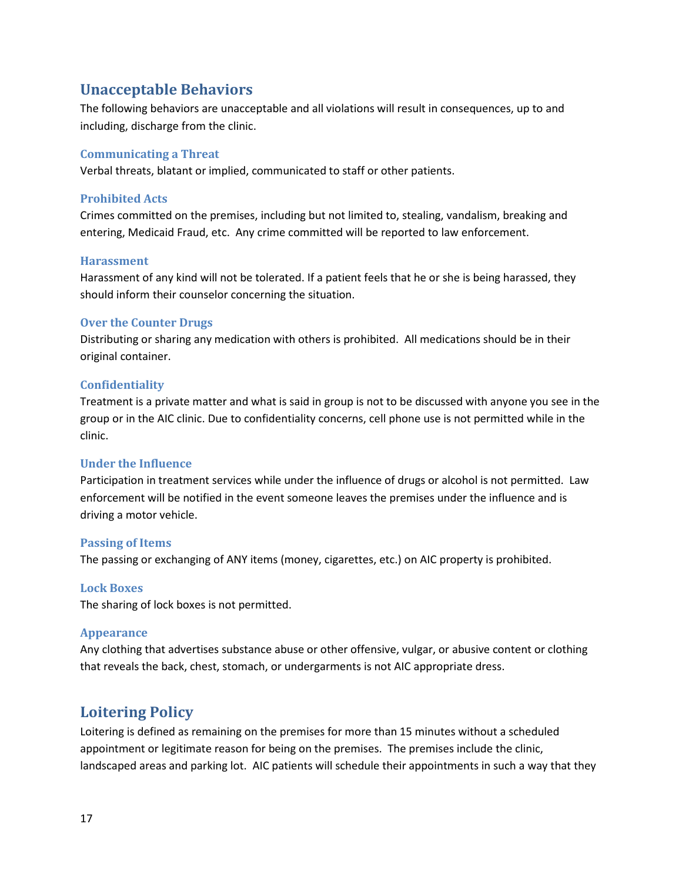#### <span id="page-16-0"></span>**Unacceptable Behaviors**

The following behaviors are unacceptable and all violations will result in consequences, up to and including, discharge from the clinic.

#### <span id="page-16-1"></span>**Communicating a Threat**

Verbal threats, blatant or implied, communicated to staff or other patients.

#### <span id="page-16-2"></span>**Prohibited Acts**

Crimes committed on the premises, including but not limited to, stealing, vandalism, breaking and entering, Medicaid Fraud, etc. Any crime committed will be reported to law enforcement.

#### <span id="page-16-3"></span>**Harassment**

Harassment of any kind will not be tolerated. If a patient feels that he or she is being harassed, they should inform their counselor concerning the situation.

#### <span id="page-16-4"></span>**Over the Counter Drugs**

Distributing or sharing any medication with others is prohibited. All medications should be in their original container.

#### <span id="page-16-5"></span>**Confidentiality**

Treatment is a private matter and what is said in group is not to be discussed with anyone you see in the group or in the AIC clinic. Due to confidentiality concerns, cell phone use is not permitted while in the clinic.

#### <span id="page-16-6"></span>**Under the Influence**

Participation in treatment services while under the influence of drugs or alcohol is not permitted. Law enforcement will be notified in the event someone leaves the premises under the influence and is driving a motor vehicle.

#### <span id="page-16-7"></span>**Passing of Items**

The passing or exchanging of ANY items (money, cigarettes, etc.) on AIC property is prohibited.

#### <span id="page-16-8"></span>**Lock Boxes**

The sharing of lock boxes is not permitted.

#### <span id="page-16-9"></span>**Appearance**

Any clothing that advertises substance abuse or other offensive, vulgar, or abusive content or clothing that reveals the back, chest, stomach, or undergarments is not AIC appropriate dress.

### <span id="page-16-10"></span>**Loitering Policy**

Loitering is defined as remaining on the premises for more than 15 minutes without a scheduled appointment or legitimate reason for being on the premises. The premises include the clinic, landscaped areas and parking lot. AIC patients will schedule their appointments in such a way that they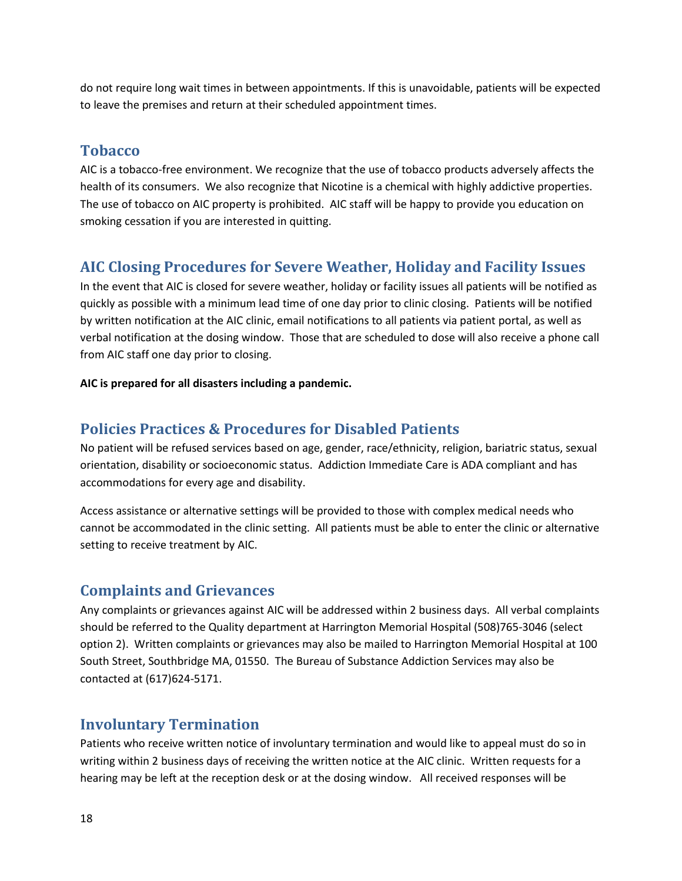do not require long wait times in between appointments. If this is unavoidable, patients will be expected to leave the premises and return at their scheduled appointment times.

#### <span id="page-17-0"></span>**Tobacco**

AIC is a tobacco-free environment. We recognize that the use of tobacco products adversely affects the health of its consumers. We also recognize that Nicotine is a chemical with highly addictive properties. The use of tobacco on AIC property is prohibited. AIC staff will be happy to provide you education on smoking cessation if you are interested in quitting.

## <span id="page-17-1"></span>**AIC Closing Procedures for Severe Weather, Holiday and Facility Issues**

In the event that AIC is closed for severe weather, holiday or facility issues all patients will be notified as quickly as possible with a minimum lead time of one day prior to clinic closing. Patients will be notified by written notification at the AIC clinic, email notifications to all patients via patient portal, as well as verbal notification at the dosing window. Those that are scheduled to dose will also receive a phone call from AIC staff one day prior to closing.

#### **AIC is prepared for all disasters including a pandemic.**

#### <span id="page-17-2"></span>**Policies Practices & Procedures for Disabled Patients**

No patient will be refused services based on age, gender, race/ethnicity, religion, bariatric status, sexual orientation, disability or socioeconomic status. Addiction Immediate Care is ADA compliant and has accommodations for every age and disability.

Access assistance or alternative settings will be provided to those with complex medical needs who cannot be accommodated in the clinic setting. All patients must be able to enter the clinic or alternative setting to receive treatment by AIC.

#### <span id="page-17-3"></span>**Complaints and Grievances**

Any complaints or grievances against AIC will be addressed within 2 business days. All verbal complaints should be referred to the Quality department at Harrington Memorial Hospital (508)765-3046 (select option 2). Written complaints or grievances may also be mailed to Harrington Memorial Hospital at 100 South Street, Southbridge MA, 01550. The Bureau of Substance Addiction Services may also be contacted at (617)624-5171.

#### <span id="page-17-4"></span>**Involuntary Termination**

Patients who receive written notice of involuntary termination and would like to appeal must do so in writing within 2 business days of receiving the written notice at the AIC clinic. Written requests for a hearing may be left at the reception desk or at the dosing window. All received responses will be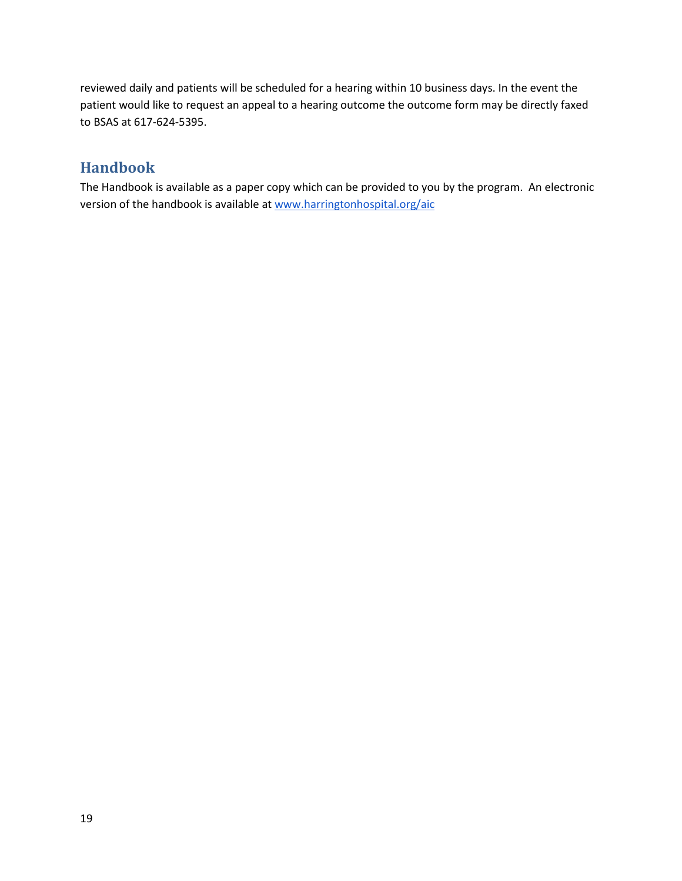reviewed daily and patients will be scheduled for a hearing within 10 business days. In the event the patient would like to request an appeal to a hearing outcome the outcome form may be directly faxed to BSAS at 617-624-5395.

# <span id="page-18-0"></span>**Handbook**

The Handbook is available as a paper copy which can be provided to you by the program. An electronic version of the handbook is available a[t www.harringtonhospital.org/aic](http://www.harringtonhospital.org/aic)